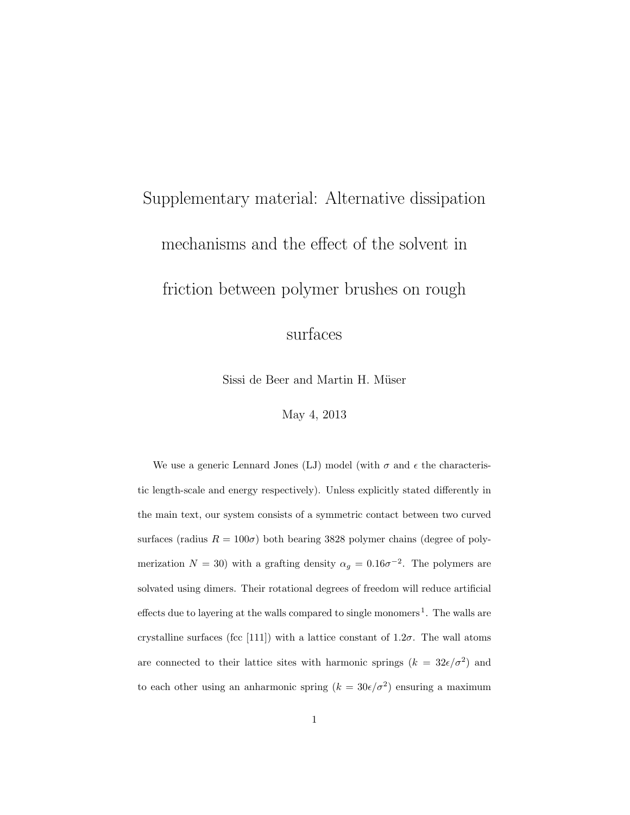## Supplementary material: Alternative dissipation mechanisms and the effect of the solvent in friction between polymer brushes on rough

surfaces

Sissi de Beer and Martin H. Müser

May 4, 2013

We use a generic Lennard Jones (LJ) model (with  $\sigma$  and  $\epsilon$  the characteristic length-scale and energy respectively). Unless explicitly stated differently in the main text, our system consists of a symmetric contact between two curved surfaces (radius  $R = 100\sigma$ ) both bearing 3828 polymer chains (degree of polymerization  $N = 30$ ) with a grafting density  $\alpha_g = 0.16\sigma^{-2}$ . The polymers are solvated using dimers. Their rotational degrees of freedom will reduce artificial effects due to layering at the walls compared to single monomers<sup>1</sup>. The walls are crystalline surfaces (fcc [111]) with a lattice constant of  $1.2\sigma$ . The wall atoms are connected to their lattice sites with harmonic springs  $(k = 32\epsilon/\sigma^2)$  and to each other using an anharmonic spring  $(k = 30\epsilon/\sigma^2)$  ensuring a maximum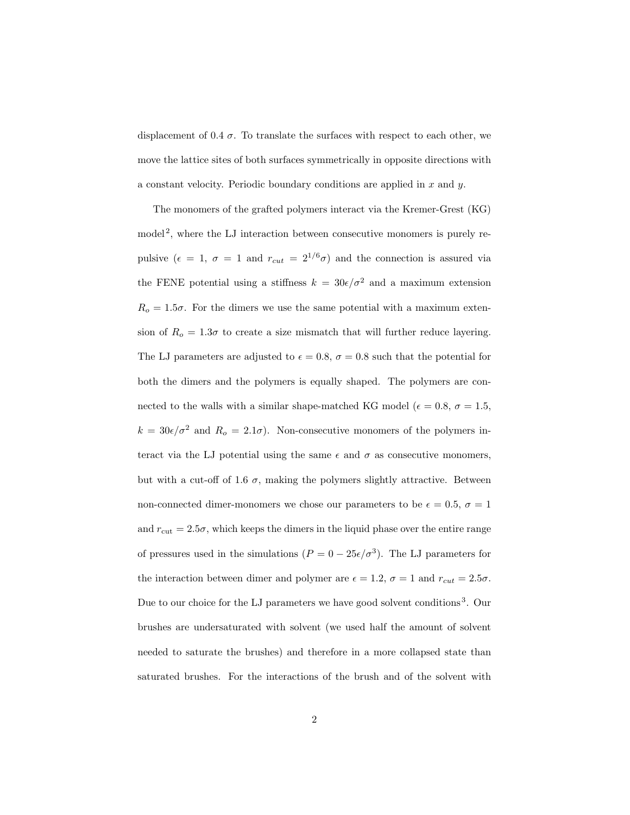displacement of 0.4  $\sigma$ . To translate the surfaces with respect to each other, we move the lattice sites of both surfaces symmetrically in opposite directions with a constant velocity. Periodic boundary conditions are applied in  $x$  and  $y$ .

The monomers of the grafted polymers interact via the Kremer-Grest (KG) model<sup>2</sup>, where the LJ interaction between consecutive monomers is purely repulsive ( $\epsilon = 1$ ,  $\sigma = 1$  and  $r_{cut} = 2^{1/6}\sigma$ ) and the connection is assured via the FENE potential using a stiffness  $k = 30\epsilon/\sigma^2$  and a maximum extension  $R_o = 1.5\sigma$ . For the dimers we use the same potential with a maximum extension of  $R_o = 1.3\sigma$  to create a size mismatch that will further reduce layering. The LJ parameters are adjusted to  $\epsilon = 0.8$ ,  $\sigma = 0.8$  such that the potential for both the dimers and the polymers is equally shaped. The polymers are connected to the walls with a similar shape-matched KG model ( $\epsilon = 0.8$ ,  $\sigma = 1.5$ ,  $k = 30\epsilon/\sigma^2$  and  $R_o = 2.1\sigma$ ). Non-consecutive monomers of the polymers interact via the LJ potential using the same  $\epsilon$  and  $\sigma$  as consecutive monomers, but with a cut-off of 1.6  $\sigma$ , making the polymers slightly attractive. Between non-connected dimer-monomers we chose our parameters to be  $\epsilon = 0.5$ ,  $\sigma = 1$ and  $r_{\text{cut}} = 2.5\sigma$ , which keeps the dimers in the liquid phase over the entire range of pressures used in the simulations  $(P = 0 - 25\epsilon/\sigma^3)$ . The LJ parameters for the interaction between dimer and polymer are  $\epsilon = 1.2$ ,  $\sigma = 1$  and  $r_{cut} = 2.5\sigma$ . Due to our choice for the LJ parameters we have good solvent conditions<sup>3</sup>. Our brushes are undersaturated with solvent (we used half the amount of solvent needed to saturate the brushes) and therefore in a more collapsed state than saturated brushes. For the interactions of the brush and of the solvent with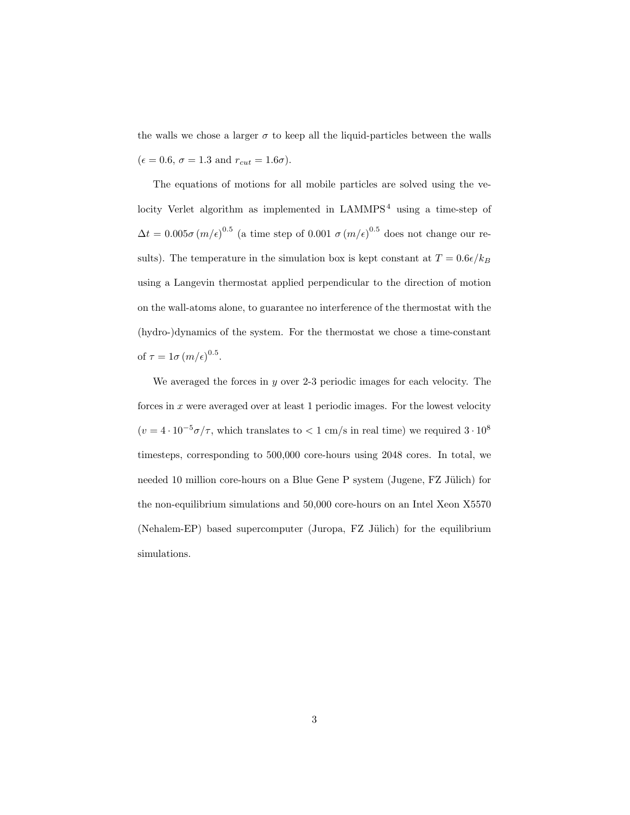the walls we chose a larger  $\sigma$  to keep all the liquid-particles between the walls  $(\epsilon = 0.6, \sigma = 1.3 \text{ and } r_{cut} = 1.6\sigma).$ 

The equations of motions for all mobile particles are solved using the velocity Verlet algorithm as implemented in  $LAMMPS<sup>4</sup>$  using a time-step of  $\Delta t = 0.005\sigma (m/\epsilon)^{0.5}$  (a time step of 0.001  $\sigma (m/\epsilon)^{0.5}$  does not change our results). The temperature in the simulation box is kept constant at  $T = 0.6\epsilon/k_B$ using a Langevin thermostat applied perpendicular to the direction of motion on the wall-atoms alone, to guarantee no interference of the thermostat with the (hydro-)dynamics of the system. For the thermostat we chose a time-constant of  $\tau = 1\sigma (m/\epsilon)^{0.5}$ .

We averaged the forces in  $y$  over 2-3 periodic images for each velocity. The forces in  $x$  were averaged over at least 1 periodic images. For the lowest velocity  $(v = 4 \cdot 10^{-5} \sigma / \tau$ , which translates to  $\lt 1$  cm/s in real time) we required  $3 \cdot 10^8$ timesteps, corresponding to 500,000 core-hours using 2048 cores. In total, we needed 10 million core-hours on a Blue Gene P system (Jugene, FZ Jülich) for the non-equilibrium simulations and 50,000 core-hours on an Intel Xeon X5570 (Nehalem-EP) based supercomputer (Juropa,  $FZ$  Jülich) for the equilibrium simulations.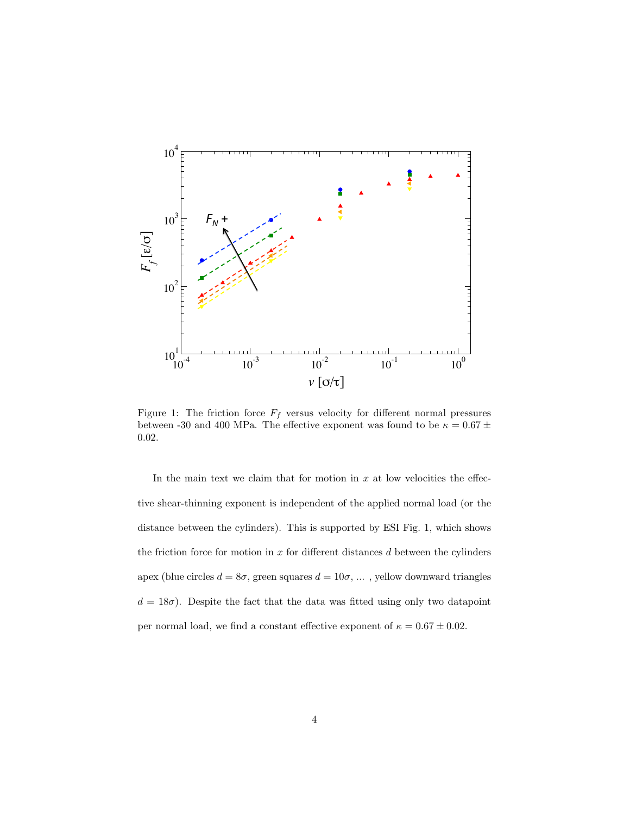

Figure 1: The friction force  $F_f$  versus velocity for different normal pressures between -30 and 400 MPa. The effective exponent was found to be  $\kappa = 0.67 \pm$ 0.02.

In the main text we claim that for motion in  $x$  at low velocities the effective shear-thinning exponent is independent of the applied normal load (or the distance between the cylinders). This is supported by ESI Fig. 1, which shows the friction force for motion in  $x$  for different distances  $d$  between the cylinders apex (blue circles  $d = 8\sigma$ , green squares  $d = 10\sigma$ , ..., yellow downward triangles  $d = 18\sigma$ ). Despite the fact that the data was fitted using only two datapoint per normal load, we find a constant effective exponent of  $\kappa = 0.67 \pm 0.02$ .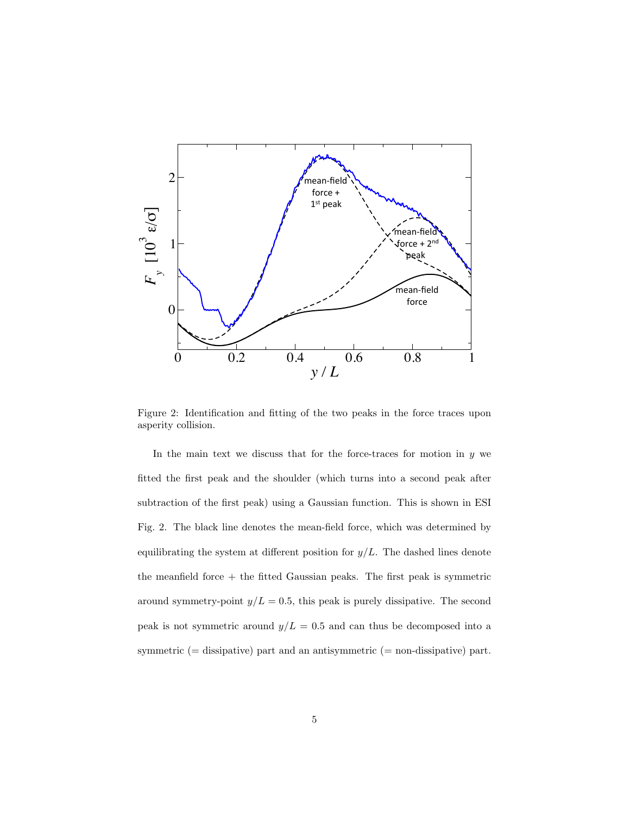

Figure 2: Identification and fitting of the two peaks in the force traces upon asperity collision.

In the main text we discuss that for the force-traces for motion in  $y$  we fitted the first peak and the shoulder (which turns into a second peak after subtraction of the first peak) using a Gaussian function. This is shown in ESI Fig. 2. The black line denotes the mean-field force, which was determined by equilibrating the system at different position for  $y/L$ . The dashed lines denote the meanfield force + the fitted Gaussian peaks. The first peak is symmetric around symmetry-point  $y/L = 0.5$ , this peak is purely dissipative. The second peak is not symmetric around  $y/L = 0.5$  and can thus be decomposed into a symmetric (= dissipative) part and an antisymmetric (= non-dissipative) part.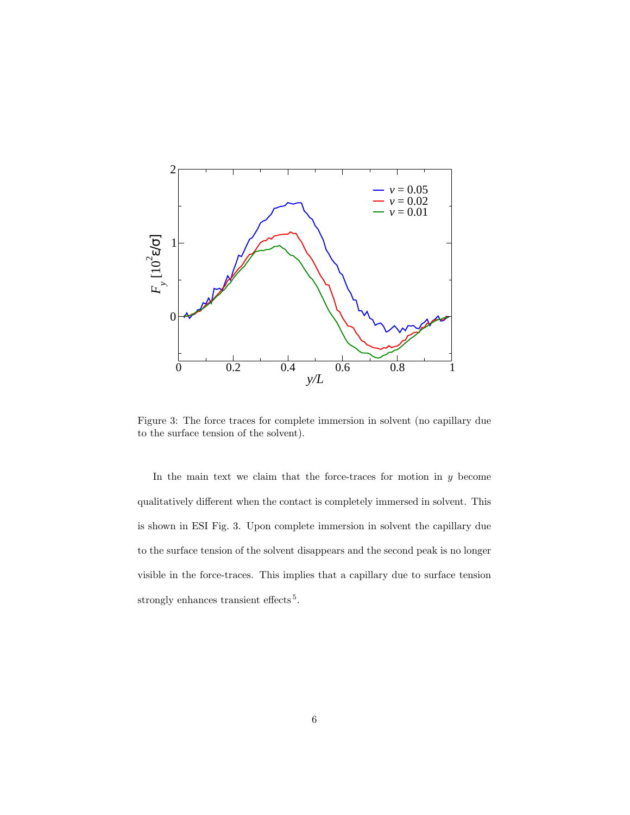

Figure 3: The force traces for complete immersion in solvent (no capillary due to the surface tension of the solvent).

In the main text we claim that the force-traces for motion in  $y$  become qualitatively different when the contact is completely immersed in solvent. This is shown in ESI Fig. 3. Upon complete immersion in solvent the capillary due to the surface tension of the solvent disappears and the second peak is no longer visible in the force-traces. This implies that a capillary due to surface tension strongly enhances transient effects<sup>5</sup>.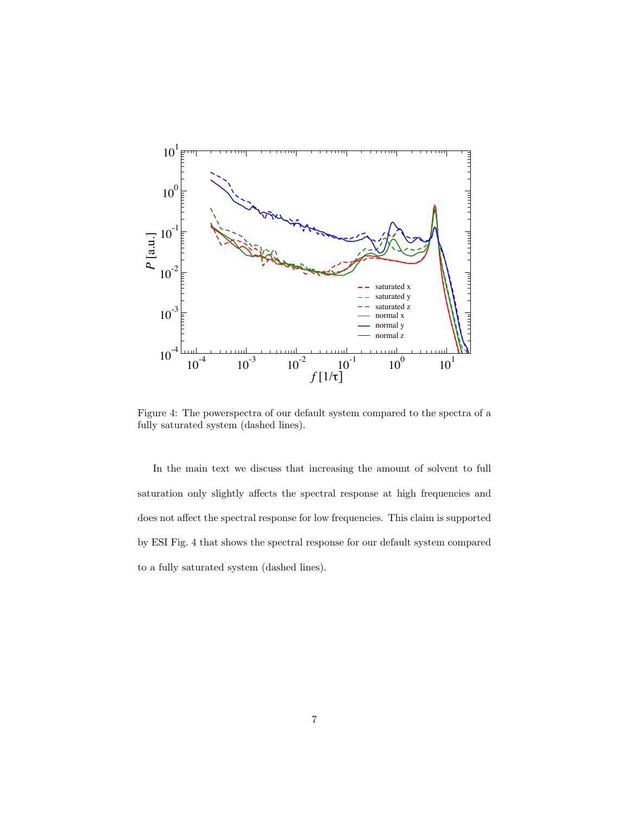

Figure 4: The powerspectra of our default system compared to the spectra of a fully saturated system (dashed lines).

In the main text we discuss that increasing the amount of solvent to full saturation only slightly affects the spectral response at high frequencies and does not affect the spectral response for low frequencies. This claim is supported by ESI Fig. 4 that shows the spectral response for our default system compared to a fully saturated system (dashed lines).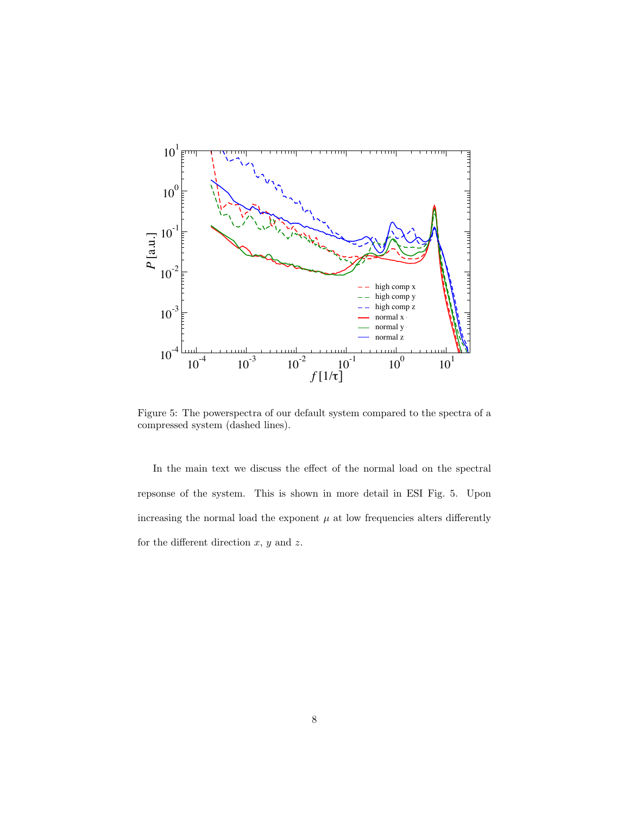

Figure 5: The powerspectra of our default system compared to the spectra of a compressed system (dashed lines).

In the main text we discuss the effect of the normal load on the spectral repsonse of the system. This is shown in more detail in ESI Fig. 5. Upon increasing the normal load the exponent  $\mu$  at low frequencies alters differently for the different direction  $x, y$  and  $z$ .